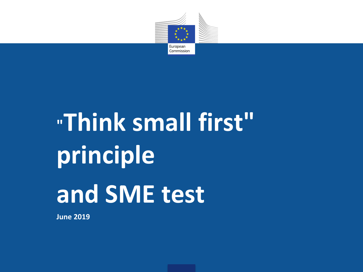

# **"Think small first" principle and SME test**

**June 2019**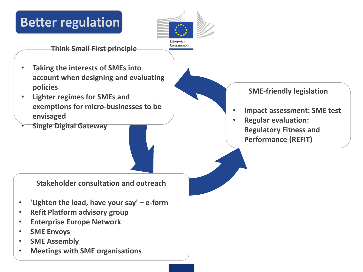## **Better regulation**



**Think Small First principle**

- **Taking the interests of SMEs into account when designing and evaluating policies**
- **Lighter regimes for SMEs and exemptions for micro-businesses to be envisaged**
- **Single Digital Gateway**

**SME-friendly legislation**

- **Impact assessment: SME test**
- **Regular evaluation: Regulatory Fitness and Performance (REFIT)**

**Stakeholder consultation and outreach**

- **'Lighten the load, have your say' – e-form**
- **Refit Platform advisory group**
- **Enterprise Europe Network**
- **SME Envoys**
- **SME Assembly**
- **Meetings with SME organisations**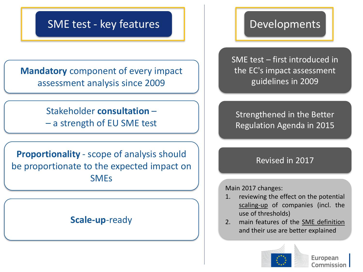### SME test - key features

**Mandatory** component of every impact assessment analysis since 2009

> Stakeholder **consultation** – – a strength of EU SME test

**Proportionality** - scope of analysis should be proportionate to the expected impact on SMEs

#### **Scale-up**-ready

#### Developments

SME test – first introduced in the EC's impact assessment guidelines in 2009

Strengthened in the Better Regulation Agenda in 2015

#### Revised in 2017

Main 2017 changes:

- 1. reviewing the effect on the potential scaling-up of companies (incl. the use of thresholds)
- 2. main features of the SME definition and their use are better explained